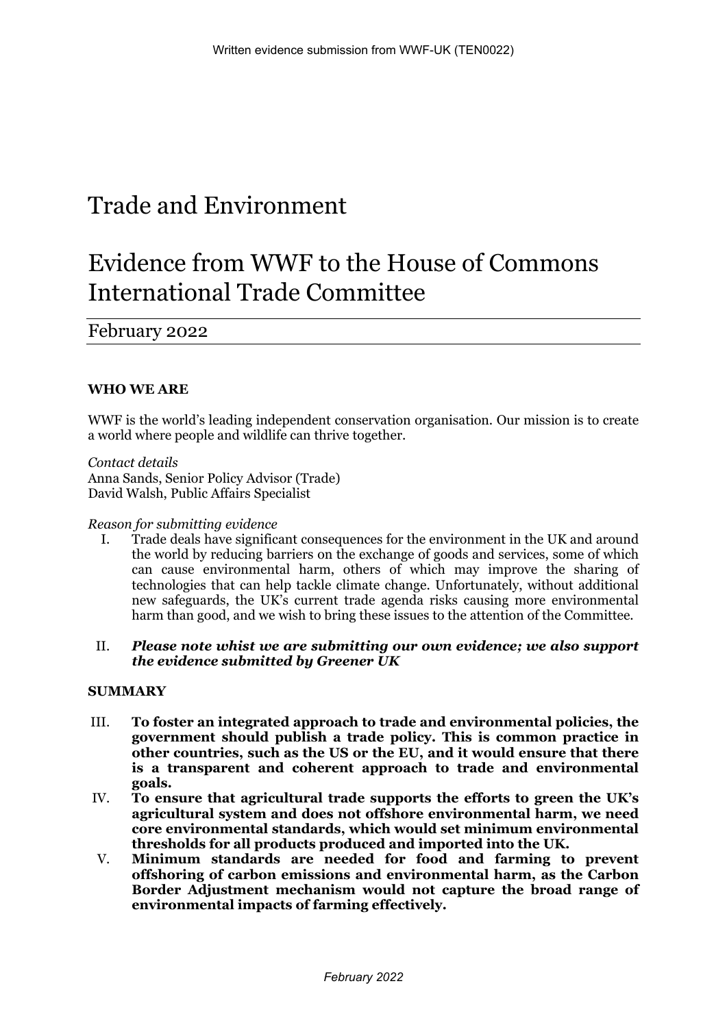# Trade and Environment

# Evidence from WWF to the House of Commons International Trade Committee

February 2022

# **WHO WE ARE**

WWF is the world's leading independent conservation organisation. Our mission is to create a world where people and wildlife can thrive together.

*Contact details* Anna Sands, Senior Policy Advisor (Trade) David Walsh, Public Affairs Specialist

#### *Reason for submitting evidence*

I. Trade deals have significant consequences for the environment in the UK and around the world by reducing barriers on the exchange of goods and services, some of which can cause environmental harm, others of which may improve the sharing of technologies that can help tackle climate change. Unfortunately, without additional new safeguards, the UK's current trade agenda risks causing more environmental harm than good, and we wish to bring these issues to the attention of the Committee.

#### II. *Please note whist we are submitting our own evidence; we also support the evidence submitted by Greener UK*

#### **SUMMARY**

- III. **To foster an integrated approach to trade and environmental policies, the government should publish a trade policy. This is common practice in other countries, such as the US or the EU, and it would ensure that there is a transparent and coherent approach to trade and environmental goals.**
- IV. **To ensure that agricultural trade supports the efforts to green the UK's agricultural system and does not offshore environmental harm, we need core environmental standards, which would set minimum environmental thresholds for all products produced and imported into the UK.**
- V. **Minimum standards are needed for food and farming to prevent offshoring of carbon emissions and environmental harm, as the Carbon Border Adjustment mechanism would not capture the broad range of environmental impacts of farming effectively.**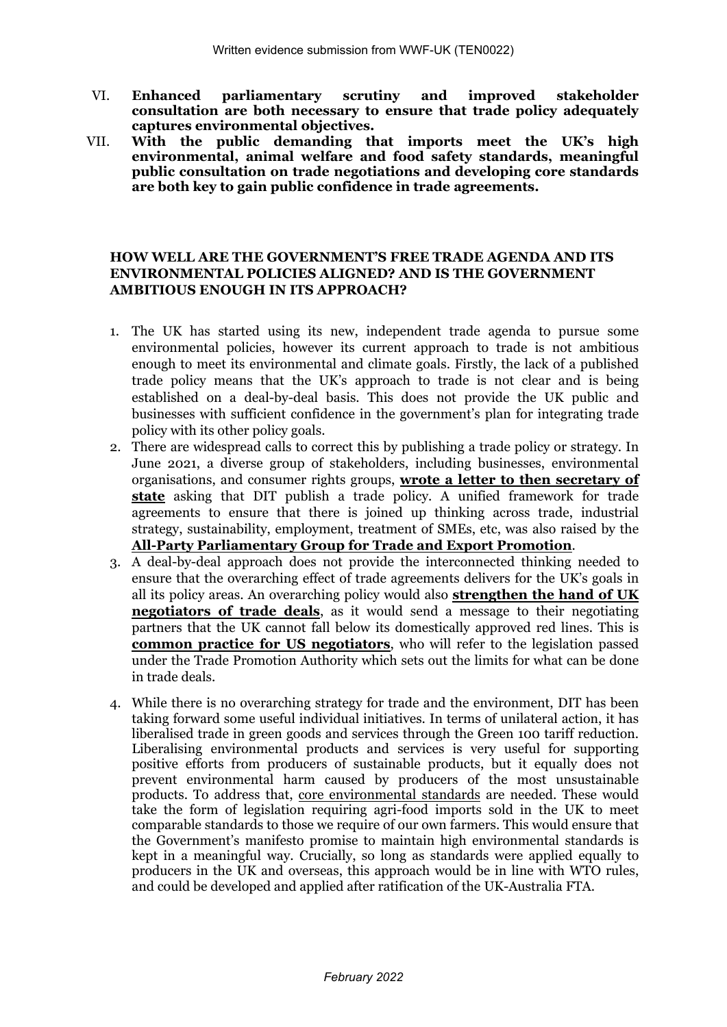- VI. **Enhanced parliamentary scrutiny and improved stakeholder consultation are both necessary to ensure that trade policy adequately captures environmental objectives.**
- VII. **With the public demanding that imports meet the UK's high environmental, animal welfare and food safety standards, meaningful public consultation on trade negotiations and developing core standards are both key to gain public confidence in trade agreements.**

### **HOW WELL ARE THE GOVERNMENT'S FREE TRADE AGENDA AND ITS ENVIRONMENTAL POLICIES ALIGNED? AND IS THE GOVERNMENT AMBITIOUS ENOUGH IN ITS APPROACH?**

- 1. The UK has started using its new, independent trade agenda to pursue some environmental policies, however its current approach to trade is not ambitious enough to meet its environmental and climate goals. Firstly, the lack of a published trade policy means that the UK's approach to trade is not clear and is being established on a deal-by-deal basis. This does not provide the UK public and businesses with sufficient confidence in the government's plan for integrating trade policy with its other policy goals.
- 2. There are widespread calls to correct this by publishing a trade policy or strategy. In June 2021, a diverse group of stakeholders, including businesses, environmental organisations, and consumer rights groups, **[wrote](https://www.telegraph.co.uk/politics/2021/06/01/post-brexit-trade-deals-must-prioritse-high-quality-british/) [a](https://www.telegraph.co.uk/politics/2021/06/01/post-brexit-trade-deals-must-prioritse-high-quality-british/) [letter](https://www.telegraph.co.uk/politics/2021/06/01/post-brexit-trade-deals-must-prioritse-high-quality-british/) [to](https://www.telegraph.co.uk/politics/2021/06/01/post-brexit-trade-deals-must-prioritse-high-quality-british/) [then](https://www.telegraph.co.uk/politics/2021/06/01/post-brexit-trade-deals-must-prioritse-high-quality-british/) [secretary](https://www.telegraph.co.uk/politics/2021/06/01/post-brexit-trade-deals-must-prioritse-high-quality-british/) [of](https://www.telegraph.co.uk/politics/2021/06/01/post-brexit-trade-deals-must-prioritse-high-quality-british/) [state](https://www.telegraph.co.uk/politics/2021/06/01/post-brexit-trade-deals-must-prioritse-high-quality-british/)** asking that DIT publish a trade policy. A unified framework for trade agreements to ensure that there is joined up thinking across trade, industrial strategy, sustainability, employment, treatment of SMEs, etc, was also raised by the **[All-Party](https://www.appgtrade.uk/tradestrategy) [Parliamentary](https://www.appgtrade.uk/tradestrategy) [Group](https://www.appgtrade.uk/tradestrategy) [for](https://www.appgtrade.uk/tradestrategy) [Trade](https://www.appgtrade.uk/tradestrategy) [and](https://www.appgtrade.uk/tradestrategy) [Export](https://www.appgtrade.uk/tradestrategy) [Promotion](https://www.appgtrade.uk/tradestrategy)**.
- 3. A deal-by-deal approach does not provide the interconnected thinking needed to ensure that the overarching effect of trade agreements delivers for the UK's goals in all its policy areas. An overarching policy would also **[strengthen](https://greenallianceblog.org.uk/2021/06/10/how-can-the-uk-be-a-credible-trading-nation-without-a-trade-policy/) [the](https://greenallianceblog.org.uk/2021/06/10/how-can-the-uk-be-a-credible-trading-nation-without-a-trade-policy/) [hand](https://greenallianceblog.org.uk/2021/06/10/how-can-the-uk-be-a-credible-trading-nation-without-a-trade-policy/) [of](https://greenallianceblog.org.uk/2021/06/10/how-can-the-uk-be-a-credible-trading-nation-without-a-trade-policy/) [UK](https://greenallianceblog.org.uk/2021/06/10/how-can-the-uk-be-a-credible-trading-nation-without-a-trade-policy/) [negotiators](https://greenallianceblog.org.uk/2021/06/10/how-can-the-uk-be-a-credible-trading-nation-without-a-trade-policy/) [of](https://greenallianceblog.org.uk/2021/06/10/how-can-the-uk-be-a-credible-trading-nation-without-a-trade-policy/) [trade](https://greenallianceblog.org.uk/2021/06/10/how-can-the-uk-be-a-credible-trading-nation-without-a-trade-policy/) [deals](https://greenallianceblog.org.uk/2021/06/10/how-can-the-uk-be-a-credible-trading-nation-without-a-trade-policy/)**, as it would send a message to their negotiating partners that the UK cannot fall below its domestically approved red lines. This is **[common](https://greenallianceblog.org.uk/2021/06/10/how-can-the-uk-be-a-credible-trading-nation-without-a-trade-policy/) [practice](https://greenallianceblog.org.uk/2021/06/10/how-can-the-uk-be-a-credible-trading-nation-without-a-trade-policy/) [for](https://greenallianceblog.org.uk/2021/06/10/how-can-the-uk-be-a-credible-trading-nation-without-a-trade-policy/) [US](https://greenallianceblog.org.uk/2021/06/10/how-can-the-uk-be-a-credible-trading-nation-without-a-trade-policy/) [negotiators](https://greenallianceblog.org.uk/2021/06/10/how-can-the-uk-be-a-credible-trading-nation-without-a-trade-policy/)**, who will refer to the legislation passed under the Trade Promotion Authority which sets out the limits for what can be done in trade deals.
- 4. While there is no overarching strategy for trade and the environment, DIT has been taking forward some useful individual initiatives. In terms of unilateral action, it has liberalised trade in green goods and services through the Green 100 tariff reduction. Liberalising environmental products and services is very useful for supporting positive efforts from producers of sustainable products, but it equally does not prevent environmental harm caused by producers of the most unsustainable products. To address that, [core](https://www.wwf.org.uk/sites/default/files/2022-02/Core_standards_2022.pdf) [environmental](https://www.wwf.org.uk/sites/default/files/2022-02/Core_standards_2022.pdf) [standards](https://www.wwf.org.uk/sites/default/files/2022-02/Core_standards_2022.pdf) are needed. These would take the form of legislation requiring agri-food imports sold in the UK to meet comparable standards to those we require of our own farmers. This would ensure that the Government's manifesto promise to maintain high environmental standards is kept in a meaningful way. Crucially, so long as standards were applied equally to producers in the UK and overseas, this approach would be in line with WTO rules, and could be developed and applied after ratification of the UK-Australia FTA.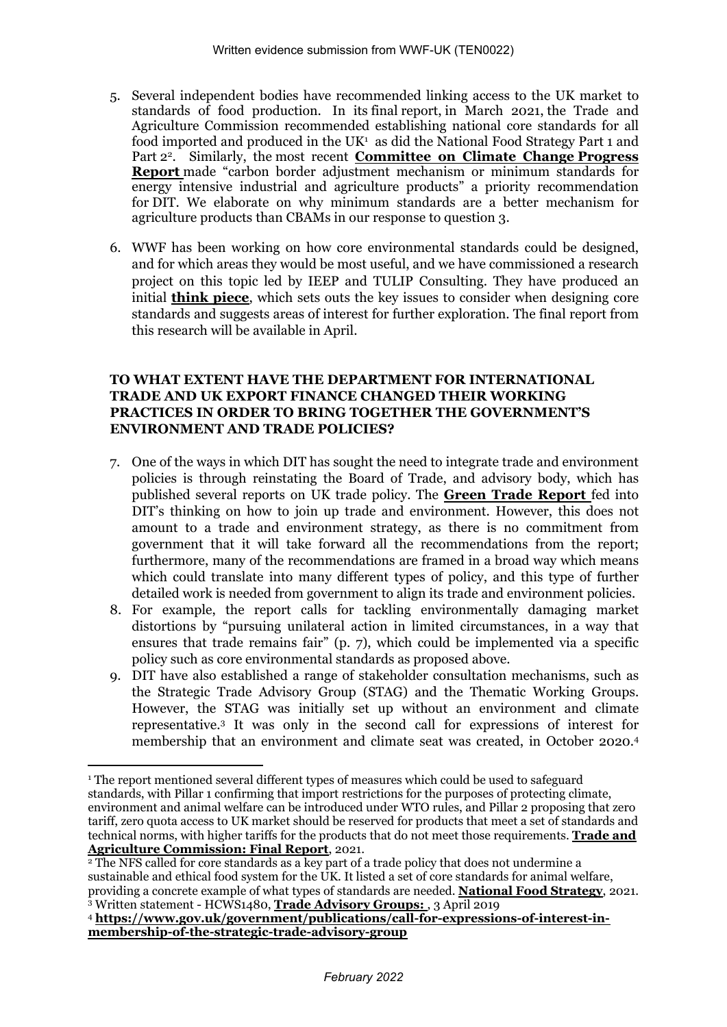- 5. Several independent bodies have recommended linking access to the UK market to standards of food production. In its final report, in March 2021, the Trade and Agriculture Commission recommended establishing national core standards for all food imported and produced in the UK<sup>1</sup> as did the National Food Strategy Part 1 and Part 2 2 . Similarly, the most recent **[Committee](https://www.theccc.org.uk/wp-content/uploads/2021/06/CCC-Joint-Recommendations-2021-Report-to-Parliament.pdf) [on](https://www.theccc.org.uk/wp-content/uploads/2021/06/CCC-Joint-Recommendations-2021-Report-to-Parliament.pdf) [Climate](https://www.theccc.org.uk/wp-content/uploads/2021/06/CCC-Joint-Recommendations-2021-Report-to-Parliament.pdf) [Change](https://www.theccc.org.uk/wp-content/uploads/2021/06/CCC-Joint-Recommendations-2021-Report-to-Parliament.pdf) [Progress](https://www.theccc.org.uk/wp-content/uploads/2021/06/CCC-Joint-Recommendations-2021-Report-to-Parliament.pdf) [Report](https://www.theccc.org.uk/wp-content/uploads/2021/06/CCC-Joint-Recommendations-2021-Report-to-Parliament.pdf)** made "carbon border adjustment mechanism or minimum standards for energy intensive industrial and agriculture products" a priority recommendation for DIT. We elaborate on why minimum standards are a better mechanism for agriculture products than CBAMs in our response to question 3.
- 6. WWF has been working on how core environmental standards could be designed, and for which areas they would be most useful, and we have commissioned a research project on this topic led by IEEP and TULIP Consulting. They have produced an initial **[think](https://www.wwf.org.uk/sites/default/files/2022-01/Designing_Environmental_Regulation_Agricultural_Imports.pdf) [piece](https://www.wwf.org.uk/sites/default/files/2022-01/Designing_Environmental_Regulation_Agricultural_Imports.pdf)**, which sets outs the key issues to consider when designing core standards and suggests areas of interest for further exploration. The final report from this research will be available in April.

# **TO WHAT EXTENT HAVE THE DEPARTMENT FOR INTERNATIONAL TRADE AND UK EXPORT FINANCE CHANGED THEIR WORKING PRACTICES IN ORDER TO BRING TOGETHER THE GOVERNMENT'S ENVIRONMENT AND TRADE POLICIES?**

- 7. One of the ways in which DIT has sought the need to integrate trade and environment policies is through reinstating the Board of Trade, and advisory body, which has published several reports on UK trade policy. The **[Green](https://www.gov.uk/government/publications/board-of-trade-report-green-trade) [Trade](https://www.gov.uk/government/publications/board-of-trade-report-green-trade) [Report](https://www.gov.uk/government/publications/board-of-trade-report-green-trade)** fed into DIT's thinking on how to join up trade and environment. However, this does not amount to a trade and environment strategy, as there is no commitment from government that it will take forward all the recommendations from the report; furthermore, many of the recommendations are framed in a broad way which means which could translate into many different types of policy, and this type of further detailed work is needed from government to align its trade and environment policies.
- 8. For example, the report calls for tackling environmentally damaging market distortions by "pursuing unilateral action in limited circumstances, in a way that ensures that trade remains fair" (p. 7), which could be implemented via a specific policy such as core environmental standards as proposed above.
- 9. DIT have also established a range of stakeholder consultation mechanisms, such as the Strategic Trade Advisory Group (STAG) and the Thematic Working Groups. However, the STAG was initially set up without an environment and climate representative.<sup>3</sup> It was only in the second call for expressions of interest for membership that an environment and climate seat was created, in October 2020.<sup>4</sup>

<sup>&</sup>lt;sup>1</sup> The report mentioned several different types of measures which could be used to safeguard standards, with Pillar 1 confirming that import restrictions for the purposes of protecting climate, environment and animal welfare can be introduced under WTO rules, and Pillar 2 proposing that zero tariff, zero quota access to UK market should be reserved for products that meet a set of standards and technical norms, with higher [t](https://www.gov.uk/government/publications/trade-and-agriculture-commission-tac/trade-and-agriculture-commission-final-report-executive-summary)ariffs for the products that do not meet those requirements. **[Trade](https://www.gov.uk/government/publications/trade-and-agriculture-commission-tac/trade-and-agriculture-commission-final-report-executive-summary) [and](https://www.gov.uk/government/publications/trade-and-agriculture-commission-tac/trade-and-agriculture-commission-final-report-executive-summary) [Agriculture](https://www.gov.uk/government/publications/trade-and-agriculture-commission-tac/trade-and-agriculture-commission-final-report-executive-summary) [Commission:](https://www.gov.uk/government/publications/trade-and-agriculture-commission-tac/trade-and-agriculture-commission-final-report-executive-summary) [Final](https://www.gov.uk/government/publications/trade-and-agriculture-commission-tac/trade-and-agriculture-commission-final-report-executive-summary) [Report](https://www.gov.uk/government/publications/trade-and-agriculture-commission-tac/trade-and-agriculture-commission-final-report-executive-summary)**, 2021.

 $\frac{1}{2}$  The NFS called for core standards as a key part of a trade policy that does not undermine a sustainable and ethical food system for the UK. It listed a set of core standards for animal welfare, providing a concrete example of what types of standards are needed. **[National](https://www.nationalfoodstrategy.org/) [Food](https://www.nationalfoodstrategy.org/) [Strategy](https://www.nationalfoodstrategy.org/)**, 2021. <sup>3</sup> Written statement - HCWS1480, **[Trade](https://questions-statements.parliament.uk/written-statements/detail/2019-04-03/HCWS1480) [Advisory](https://questions-statements.parliament.uk/written-statements/detail/2019-04-03/HCWS1480) [Groups:](https://questions-statements.parliament.uk/written-statements/detail/2019-04-03/HCWS1480)** , 3 April 2019

<sup>4</sup> **[https://www.gov.uk/government/publications/call-for-expressions-of-interest-in](https://www.gov.uk/government/publications/call-for-expressions-of-interest-in-membership-of-the-strategic-trade-advisory-group)[membership-of-the-strategic-trade-advisory-group](https://www.gov.uk/government/publications/call-for-expressions-of-interest-in-membership-of-the-strategic-trade-advisory-group)**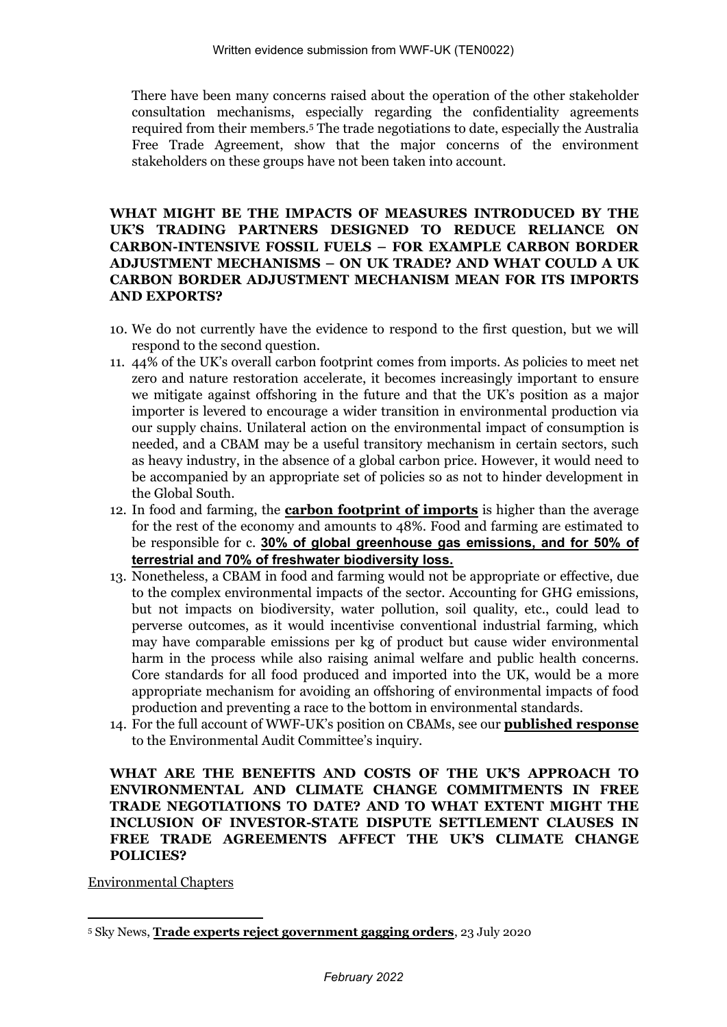There have been many concerns raised about the operation of the other stakeholder consultation mechanisms, especially regarding the confidentiality agreements required from their members.<sup>5</sup> The trade negotiations to date, especially the Australia Free Trade Agreement, show that the major concerns of the environment stakeholders on these groups have not been taken into account.

# **WHAT MIGHT BE THE IMPACTS OF MEASURES INTRODUCED BY THE UK'S TRADING PARTNERS DESIGNED TO REDUCE RELIANCE ON CARBON-INTENSIVE FOSSIL FUELS – FOR EXAMPLE CARBON BORDER ADJUSTMENT MECHANISMS – ON UK TRADE? AND WHAT COULD A UK CARBON BORDER ADJUSTMENT MECHANISM MEAN FOR ITS IMPORTS AND EXPORTS?**

- 10. We do not currently have the evidence to respond to the first question, but we will respond to the second question.
- 11. 44% of the UK's overall carbon footprint comes from imports. As policies to meet net zero and nature restoration accelerate, it becomes increasingly important to ensure we mitigate against offshoring in the future and that the UK's position as a major importer is levered to encourage a wider transition in environmental production via our supply chains. Unilateral action on the environmental impact of consumption is needed, and a CBAM may be a useful transitory mechanism in certain sectors, such as heavy industry, in the absence of a global carbon price. However, it would need to be accompanied by an appropriate set of policies so as not to hinder development in the Global South.
- 12. In food and farming, the **[carbon](https://www.wwf.org.uk/sites/default/files/2020-04/FINAL-WWF-UK_Carbon_Footprint_Analysis_Report_March_2020%20%28003%29.pdf) [footprint](https://www.wwf.org.uk/sites/default/files/2020-04/FINAL-WWF-UK_Carbon_Footprint_Analysis_Report_March_2020%20%28003%29.pdf) [of](https://www.wwf.org.uk/sites/default/files/2020-04/FINAL-WWF-UK_Carbon_Footprint_Analysis_Report_March_2020%20%28003%29.pdf) [imports](https://www.wwf.org.uk/sites/default/files/2020-04/FINAL-WWF-UK_Carbon_Footprint_Analysis_Report_March_2020%20%28003%29.pdf)** is higher than the average for the rest of the economy and amounts to 48%. Food and farming are estimated to be responsible for c. **[30%](https://www.zsl.org/sites/default/files/LPR%202020%20Full%20report.pdf) [of](https://www.zsl.org/sites/default/files/LPR%202020%20Full%20report.pdf) [global](https://www.zsl.org/sites/default/files/LPR%202020%20Full%20report.pdf) [greenhouse](https://www.zsl.org/sites/default/files/LPR%202020%20Full%20report.pdf) [gas](https://www.zsl.org/sites/default/files/LPR%202020%20Full%20report.pdf) [emissions,](https://www.zsl.org/sites/default/files/LPR%202020%20Full%20report.pdf) [and](https://www.zsl.org/sites/default/files/LPR%202020%20Full%20report.pdf) [for](https://www.zsl.org/sites/default/files/LPR%202020%20Full%20report.pdf) [50%](https://www.zsl.org/sites/default/files/LPR%202020%20Full%20report.pdf) [of](https://www.zsl.org/sites/default/files/LPR%202020%20Full%20report.pdf) [terrestrial](https://www.zsl.org/sites/default/files/LPR%202020%20Full%20report.pdf) [and](https://www.zsl.org/sites/default/files/LPR%202020%20Full%20report.pdf) [70%](https://www.zsl.org/sites/default/files/LPR%202020%20Full%20report.pdf) [of](https://www.zsl.org/sites/default/files/LPR%202020%20Full%20report.pdf) [freshwater](https://www.zsl.org/sites/default/files/LPR%202020%20Full%20report.pdf) [biodiversity](https://www.zsl.org/sites/default/files/LPR%202020%20Full%20report.pdf) [loss.](https://www.zsl.org/sites/default/files/LPR%202020%20Full%20report.pdf)**
- 13. Nonetheless, a CBAM in food and farming would not be appropriate or effective, due to the complex environmental impacts of the sector. Accounting for GHG emissions, but not impacts on biodiversity, water pollution, soil quality, etc., could lead to perverse outcomes, as it would incentivise conventional industrial farming, which may have comparable emissions per kg of product but cause wider environmental harm in the process while also raising animal welfare and public health concerns. Core standards for all food produced and imported into the UK, would be a more appropriate mechanism for avoiding an offshoring of environmental impacts of food production and preventing a race to the bottom in environmental standards.
- 14. For the full account of WWF-UK's position on CBAMs, see our **[published](https://committees.parliament.uk/work/1535/carbon-border-adjustment-mechanism/publications/written-evidence/?page=2) [response](https://committees.parliament.uk/work/1535/carbon-border-adjustment-mechanism/publications/written-evidence/?page=2)** to the Environmental Audit Committee's inquiry.

# **WHAT ARE THE BENEFITS AND COSTS OF THE UK'S APPROACH TO ENVIRONMENTAL AND CLIMATE CHANGE COMMITMENTS IN FREE TRADE NEGOTIATIONS TO DATE? AND TO WHAT EXTENT MIGHT THE INCLUSION OF INVESTOR-STATE DISPUTE SETTLEMENT CLAUSES IN FREE TRADE AGREEMENTS AFFECT THE UK'S CLIMATE CHANGE POLICIES?**

Environmental Chapters

<sup>5</sup> Sky News, **[Trade](https://news.sky.com/story/trade-experts-reject-government-gagging-orders-12034425) [experts](https://news.sky.com/story/trade-experts-reject-government-gagging-orders-12034425) [reject](https://news.sky.com/story/trade-experts-reject-government-gagging-orders-12034425) [government](https://news.sky.com/story/trade-experts-reject-government-gagging-orders-12034425) [gagging](https://news.sky.com/story/trade-experts-reject-government-gagging-orders-12034425) [orders](https://news.sky.com/story/trade-experts-reject-government-gagging-orders-12034425)**, 23 July 2020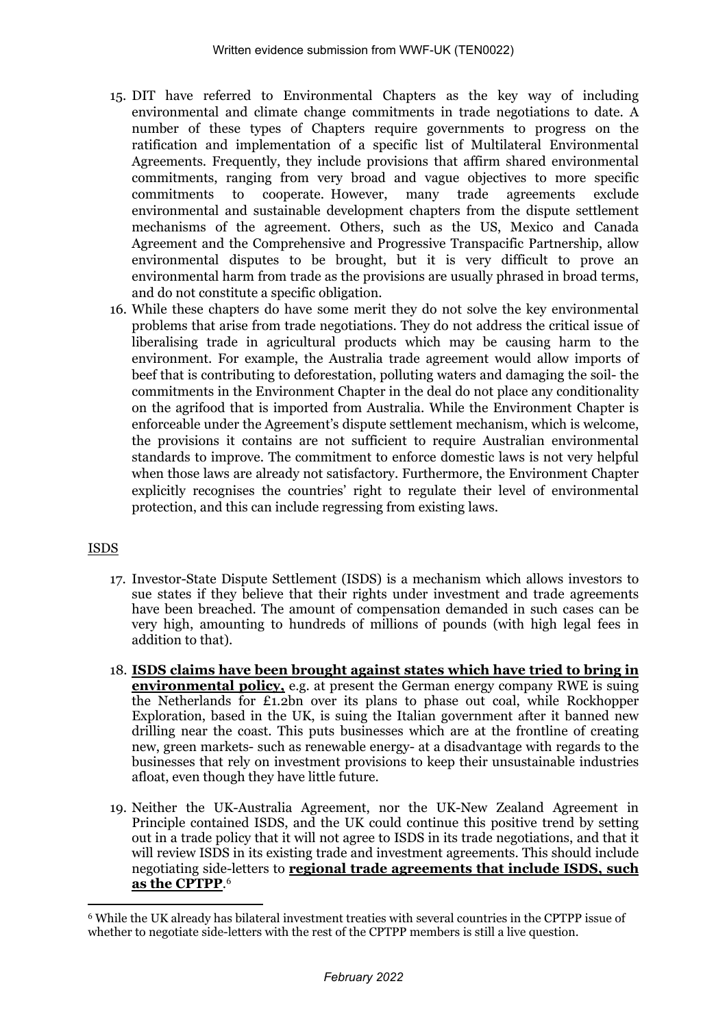- 15. DIT have referred to Environmental Chapters as the key way of including environmental and climate change commitments in trade negotiations to date. A number of these types of Chapters require governments to progress on the ratification and implementation of a specific list of Multilateral Environmental Agreements. Frequently, they include provisions that affirm shared environmental commitments, ranging from very broad and vague objectives to more specific commitments to cooperate. However, many trade agreements exclude environmental and sustainable development chapters from the dispute settlement mechanisms of the agreement. Others, such as the US, Mexico and Canada Agreement and the Comprehensive and Progressive Transpacific Partnership, allow environmental disputes to be brought, but it is very difficult to prove an environmental harm from trade as the provisions are usually phrased in broad terms, and do not constitute a specific obligation.
- 16. While these chapters do have some merit they do not solve the key environmental problems that arise from trade negotiations. They do not address the critical issue of liberalising trade in agricultural products which may be causing harm to the environment. For example, the Australia trade agreement would allow imports of beef that is contributing to deforestation, polluting waters and damaging the soil- the commitments in the Environment Chapter in the deal do not place any conditionality on the agrifood that is imported from Australia. While the Environment Chapter is enforceable under the Agreement's dispute settlement mechanism, which is welcome, the provisions it contains are not sufficient to require Australian environmental standards to improve. The commitment to enforce domestic laws is not very helpful when those laws are already not satisfactory. Furthermore, the Environment Chapter explicitly recognises the countries' right to regulate their level of environmental protection, and this can include regressing from existing laws.

# ISDS

- 17. Investor-State Dispute Settlement (ISDS) is a mechanism which allows investors to sue states if they believe that their rights under investment and trade agreements have been breached. The amount of compensation demanded in such cases can be very high, amounting to hundreds of millions of pounds (with high legal fees in addition to that).
- 18. **[ISDS](https://www.theguardian.com/environment/2021/nov/03/secretive-court-system-poses-threat-to-climate-deal-says-whistleblower) [claims](https://www.theguardian.com/environment/2021/nov/03/secretive-court-system-poses-threat-to-climate-deal-says-whistleblower) [have](https://www.theguardian.com/environment/2021/nov/03/secretive-court-system-poses-threat-to-climate-deal-says-whistleblower) [been](https://www.theguardian.com/environment/2021/nov/03/secretive-court-system-poses-threat-to-climate-deal-says-whistleblower) [brought](https://www.theguardian.com/environment/2021/nov/03/secretive-court-system-poses-threat-to-climate-deal-says-whistleblower) [against](https://www.theguardian.com/environment/2021/nov/03/secretive-court-system-poses-threat-to-climate-deal-says-whistleblower) [states](https://www.theguardian.com/environment/2021/nov/03/secretive-court-system-poses-threat-to-climate-deal-says-whistleblower) [which](https://www.theguardian.com/environment/2021/nov/03/secretive-court-system-poses-threat-to-climate-deal-says-whistleblower) [have](https://www.theguardian.com/environment/2021/nov/03/secretive-court-system-poses-threat-to-climate-deal-says-whistleblower) [tried](https://www.theguardian.com/environment/2021/nov/03/secretive-court-system-poses-threat-to-climate-deal-says-whistleblower) [to](https://www.theguardian.com/environment/2021/nov/03/secretive-court-system-poses-threat-to-climate-deal-says-whistleblower) [bring](https://www.theguardian.com/environment/2021/nov/03/secretive-court-system-poses-threat-to-climate-deal-says-whistleblower) [in](https://www.theguardian.com/environment/2021/nov/03/secretive-court-system-poses-threat-to-climate-deal-says-whistleblower) [environmental](https://www.theguardian.com/environment/2021/nov/03/secretive-court-system-poses-threat-to-climate-deal-says-whistleblower) [policy,](https://www.theguardian.com/environment/2021/nov/03/secretive-court-system-poses-threat-to-climate-deal-says-whistleblower)** e.g. at present the German energy company RWE is suing the Netherlands for £1.2bn over its plans to phase out coal, while Rockhopper Exploration, based in the UK, is suing the Italian government after it banned new drilling near the coast. This puts businesses which are at the frontline of creating new, green markets- such as renewable energy- at a disadvantage with regards to the businesses that rely on investment provisions to keep their unsustainable industries afloat, even though they have little future.
- 19. Neither the UK-Australia Agreement, nor the UK-New Zealand Agreement in Principle contained ISDS, and the UK could continue this positive trend by setting out in a trade policy that it will not agree to ISDS in its trade negotiations, and that it will review ISDS in its existing trade and investment agreements. This should include negotiating side-letters to **[regional](https://blogs.sussex.ac.uk/uktpo/2021/04/16/challenges-ahead-for-the-uk-to-join-cptpp/#:~:text=In%20order%20to%20become%20a%20CPTPP%20member%2C%20the,%282006%29%2C%20Peru%20%281993%29%2C%20Singapore%20%281975%29%20and%20Vietnam%20%282002%29.) [trade](https://blogs.sussex.ac.uk/uktpo/2021/04/16/challenges-ahead-for-the-uk-to-join-cptpp/#:~:text=In%20order%20to%20become%20a%20CPTPP%20member%2C%20the,%282006%29%2C%20Peru%20%281993%29%2C%20Singapore%20%281975%29%20and%20Vietnam%20%282002%29.) [agreements](https://blogs.sussex.ac.uk/uktpo/2021/04/16/challenges-ahead-for-the-uk-to-join-cptpp/#:~:text=In%20order%20to%20become%20a%20CPTPP%20member%2C%20the,%282006%29%2C%20Peru%20%281993%29%2C%20Singapore%20%281975%29%20and%20Vietnam%20%282002%29.) [that](https://blogs.sussex.ac.uk/uktpo/2021/04/16/challenges-ahead-for-the-uk-to-join-cptpp/#:~:text=In%20order%20to%20become%20a%20CPTPP%20member%2C%20the,%282006%29%2C%20Peru%20%281993%29%2C%20Singapore%20%281975%29%20and%20Vietnam%20%282002%29.) [include](https://blogs.sussex.ac.uk/uktpo/2021/04/16/challenges-ahead-for-the-uk-to-join-cptpp/#:~:text=In%20order%20to%20become%20a%20CPTPP%20member%2C%20the,%282006%29%2C%20Peru%20%281993%29%2C%20Singapore%20%281975%29%20and%20Vietnam%20%282002%29.) [ISDS,](https://blogs.sussex.ac.uk/uktpo/2021/04/16/challenges-ahead-for-the-uk-to-join-cptpp/#:~:text=In%20order%20to%20become%20a%20CPTPP%20member%2C%20the,%282006%29%2C%20Peru%20%281993%29%2C%20Singapore%20%281975%29%20and%20Vietnam%20%282002%29.) [such](https://blogs.sussex.ac.uk/uktpo/2021/04/16/challenges-ahead-for-the-uk-to-join-cptpp/#:~:text=In%20order%20to%20become%20a%20CPTPP%20member%2C%20the,%282006%29%2C%20Peru%20%281993%29%2C%20Singapore%20%281975%29%20and%20Vietnam%20%282002%29.) [as](https://blogs.sussex.ac.uk/uktpo/2021/04/16/challenges-ahead-for-the-uk-to-join-cptpp/#:~:text=In%20order%20to%20become%20a%20CPTPP%20member%2C%20the,%282006%29%2C%20Peru%20%281993%29%2C%20Singapore%20%281975%29%20and%20Vietnam%20%282002%29.) [the](https://blogs.sussex.ac.uk/uktpo/2021/04/16/challenges-ahead-for-the-uk-to-join-cptpp/#:~:text=In%20order%20to%20become%20a%20CPTPP%20member%2C%20the,%282006%29%2C%20Peru%20%281993%29%2C%20Singapore%20%281975%29%20and%20Vietnam%20%282002%29.) [CPTPP](https://blogs.sussex.ac.uk/uktpo/2021/04/16/challenges-ahead-for-the-uk-to-join-cptpp/#:~:text=In%20order%20to%20become%20a%20CPTPP%20member%2C%20the,%282006%29%2C%20Peru%20%281993%29%2C%20Singapore%20%281975%29%20and%20Vietnam%20%282002%29.)**. 6

<sup>6</sup> While the UK already has bilateral investment treaties with several countries in the CPTPP issue of whether to negotiate side-letters with the rest of the CPTPP members is still a live question.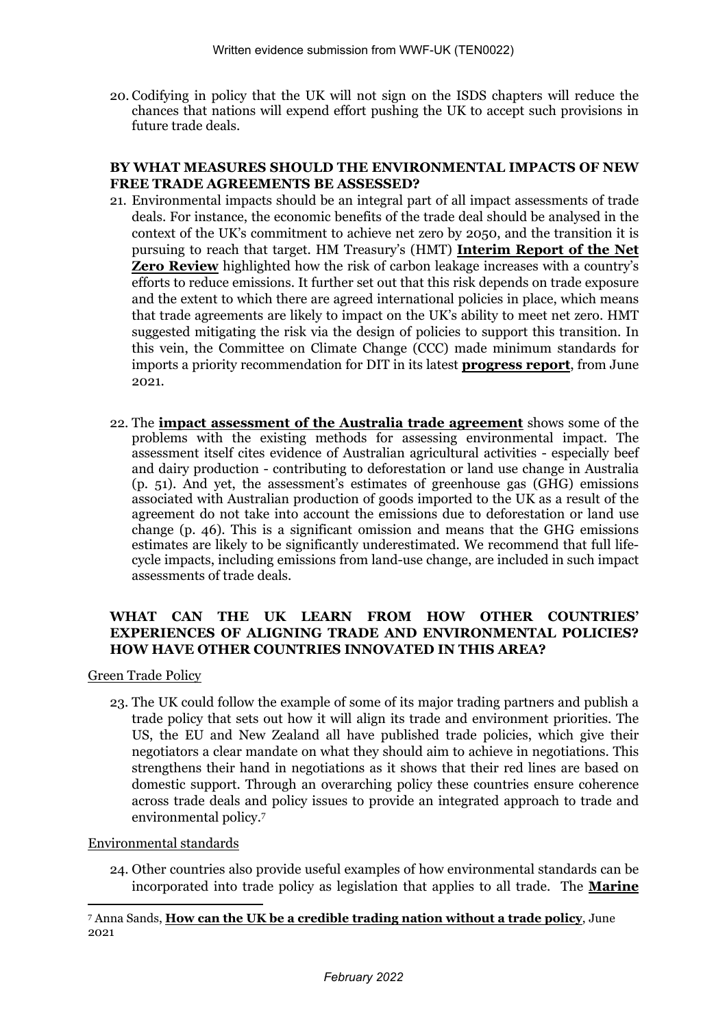20. Codifying in policy that the UK will not sign on the ISDS chapters will reduce the chances that nations will expend effort pushing the UK to accept such provisions in future trade deals.

#### **BY WHAT MEASURES SHOULD THE ENVIRONMENTAL IMPACTS OF NEW FREE TRADE AGREEMENTS BE ASSESSED?**

- 21. Environmental impacts should be an integral part of all impact assessments of trade deals. For instance, the economic benefits of the trade deal should be analysed in the context of the UK's commitment to achieve net zero by 2050, and the transition it is pursuing to reach that target. HM Treasury's (HMT) **[Interim](https://www.gov.uk/government/publications/net-zero-review-interim-report) [Report](https://www.gov.uk/government/publications/net-zero-review-interim-report) [of](https://www.gov.uk/government/publications/net-zero-review-interim-report) [the](https://www.gov.uk/government/publications/net-zero-review-interim-report) [Net](https://www.gov.uk/government/publications/net-zero-review-interim-report) [Zero](https://www.gov.uk/government/publications/net-zero-review-interim-report) [Review](https://www.gov.uk/government/publications/net-zero-review-interim-report)** highlighted how the risk of carbon leakage increases with a country's efforts to reduce emissions. It further set out that this risk depends on trade exposure and the extent to which there are agreed international policies in place, which means that trade agreements are likely to impact on the UK's ability to meet net zero. HMT suggested mitigating the risk via the design of policies to support this transition. In this vein, the Committee on Climate Change (CCC) made minimum standards for imports a priority recommendation for DIT in its latest **[progress](https://www.theccc.org.uk/publication/2021-progress-report-to-parliament/) [report](https://www.theccc.org.uk/publication/2021-progress-report-to-parliament/)**, from June 2021.
- 22. The **[impact](https://assets.publishing.service.gov.uk/government/uploads/system/uploads/attachment_data/file/1041629/impact-assessment-of-the-free-trade-agreement-between-the-united-kingdom-of-great-britain-and-northern-ireland-and-australia.pdf) [assessment](https://assets.publishing.service.gov.uk/government/uploads/system/uploads/attachment_data/file/1041629/impact-assessment-of-the-free-trade-agreement-between-the-united-kingdom-of-great-britain-and-northern-ireland-and-australia.pdf) [of](https://assets.publishing.service.gov.uk/government/uploads/system/uploads/attachment_data/file/1041629/impact-assessment-of-the-free-trade-agreement-between-the-united-kingdom-of-great-britain-and-northern-ireland-and-australia.pdf) [the](https://assets.publishing.service.gov.uk/government/uploads/system/uploads/attachment_data/file/1041629/impact-assessment-of-the-free-trade-agreement-between-the-united-kingdom-of-great-britain-and-northern-ireland-and-australia.pdf) [Australia](https://assets.publishing.service.gov.uk/government/uploads/system/uploads/attachment_data/file/1041629/impact-assessment-of-the-free-trade-agreement-between-the-united-kingdom-of-great-britain-and-northern-ireland-and-australia.pdf) [trade](https://assets.publishing.service.gov.uk/government/uploads/system/uploads/attachment_data/file/1041629/impact-assessment-of-the-free-trade-agreement-between-the-united-kingdom-of-great-britain-and-northern-ireland-and-australia.pdf) [agreement](https://assets.publishing.service.gov.uk/government/uploads/system/uploads/attachment_data/file/1041629/impact-assessment-of-the-free-trade-agreement-between-the-united-kingdom-of-great-britain-and-northern-ireland-and-australia.pdf)** shows some of the problems with the existing methods for assessing environmental impact. The assessment itself cites evidence of Australian agricultural activities - especially beef and dairy production - contributing to deforestation or land use change in Australia (p. 51). And yet, the assessment's estimates of greenhouse gas (GHG) emissions associated with Australian production of goods imported to the UK as a result of the agreement do not take into account the emissions due to deforestation or land use change (p. 46). This is a significant omission and means that the GHG emissions estimates are likely to be significantly underestimated. We recommend that full lifecycle impacts, including emissions from land-use change, are included in such impact assessments of trade deals.

# **WHAT CAN THE UK LEARN FROM HOW OTHER COUNTRIES' EXPERIENCES OF ALIGNING TRADE AND ENVIRONMENTAL POLICIES? HOW HAVE OTHER COUNTRIES INNOVATED IN THIS AREA?**

Green Trade Policy

23. The UK could follow the example of some of its major trading partners and publish a trade policy that sets out how it will align its trade and environment priorities. The US, the EU and New Zealand all have published trade policies, which give their negotiators a clear mandate on what they should aim to achieve in negotiations. This strengthens their hand in negotiations as it shows that their red lines are based on domestic support. Through an overarching policy these countries ensure coherence across trade deals and policy issues to provide an integrated approach to trade and environmental policy.<sup>7</sup>

# Environmental standards

24. Other countries also provide useful examples of how environmental standards can be incorporated into trade policy as legislation that applies to all trade. The **[Marine](https://www.wwf.org.uk/sites/default/files/2021-03/MMPA%20Briefing%20final%20draft_0.pdf)**

<sup>7</sup> Anna Sands, **[How](https://greenallianceblog.org.uk/2021/06/10/how-can-the-uk-be-a-credible-trading-nation-without-a-trade-policy/) [can](https://greenallianceblog.org.uk/2021/06/10/how-can-the-uk-be-a-credible-trading-nation-without-a-trade-policy/) [the](https://greenallianceblog.org.uk/2021/06/10/how-can-the-uk-be-a-credible-trading-nation-without-a-trade-policy/) [UK](https://greenallianceblog.org.uk/2021/06/10/how-can-the-uk-be-a-credible-trading-nation-without-a-trade-policy/) [be](https://greenallianceblog.org.uk/2021/06/10/how-can-the-uk-be-a-credible-trading-nation-without-a-trade-policy/) [a](https://greenallianceblog.org.uk/2021/06/10/how-can-the-uk-be-a-credible-trading-nation-without-a-trade-policy/) [credible](https://greenallianceblog.org.uk/2021/06/10/how-can-the-uk-be-a-credible-trading-nation-without-a-trade-policy/) [trading](https://greenallianceblog.org.uk/2021/06/10/how-can-the-uk-be-a-credible-trading-nation-without-a-trade-policy/) [nation](https://greenallianceblog.org.uk/2021/06/10/how-can-the-uk-be-a-credible-trading-nation-without-a-trade-policy/) [without](https://greenallianceblog.org.uk/2021/06/10/how-can-the-uk-be-a-credible-trading-nation-without-a-trade-policy/) [a](https://greenallianceblog.org.uk/2021/06/10/how-can-the-uk-be-a-credible-trading-nation-without-a-trade-policy/) [trade](https://greenallianceblog.org.uk/2021/06/10/how-can-the-uk-be-a-credible-trading-nation-without-a-trade-policy/) [policy](https://greenallianceblog.org.uk/2021/06/10/how-can-the-uk-be-a-credible-trading-nation-without-a-trade-policy/)**, June 2021